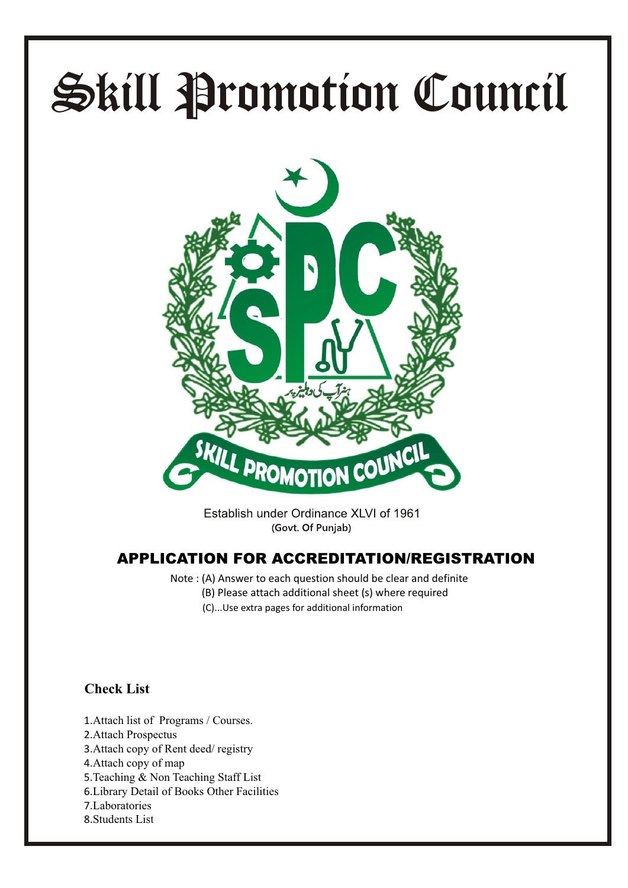# Skill Promotion Council



Establish under Ordinance XLVI of 1961 (Govt. Of Punjab)

#### **APPLICATION FOR ACCREDITATION/REGISTRATION**

Note : (A) Answer to each question should be clear and definite (B) Please attach additional sheet (s) where required (C)...Use extra pages for additional information

### **Check List**

- 1.Attach list of Programs / Courses. 2.Attach Prospectus 3.Attach copy of Rent deed/ registry 4.Attach copy of map 5.Teaching & Non Teaching Staff List
- 6.Library Detail of Books Other Facilities
- 7.Laboratories
- 8.Students List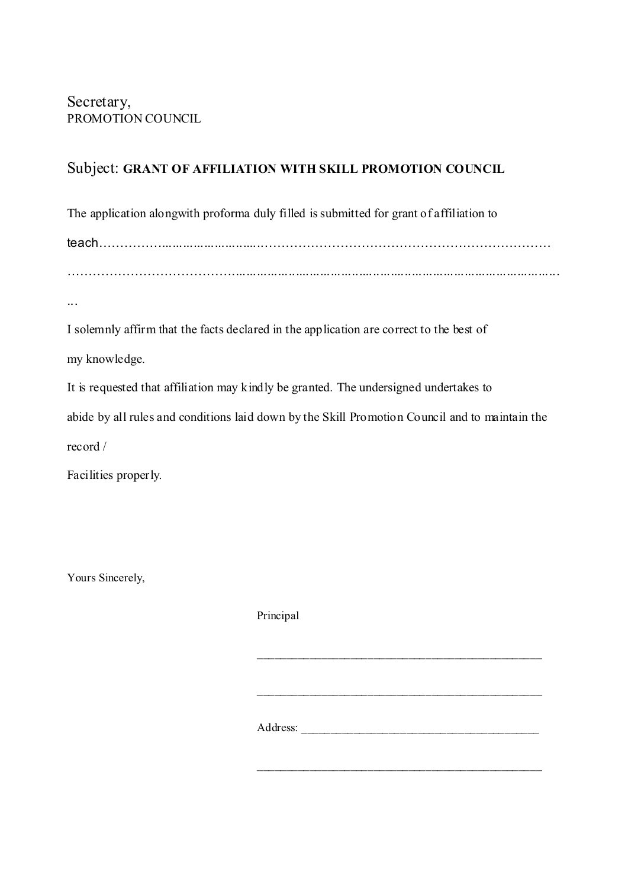#### Subject: **GRANT OF AFFILIATION WITH SKILL PROMOTION COUNCIL**

The application alongwith proforma duly filled is submitted for grant of affiliation to

teach……………............................…………………………………………………………… ………………………………….............................................................................................

...

I solemnly affirm that the facts declared in the application are correct to the best of

my knowledge.

It is requested that affiliation may kindly be granted. The undersigned undertakes to

abide by all rules and conditions laid down by the Skill Promotion Council and to maintain the

record /

Facilities properly.

Yours Sincerely,

Principal \_\_\_\_\_\_\_\_\_\_\_\_\_\_\_\_\_\_\_\_\_\_\_\_\_\_\_\_\_\_\_\_\_\_\_\_\_\_\_\_\_\_\_\_\_\_\_\_\_ \_\_\_\_\_\_\_\_\_\_\_\_\_\_\_\_\_\_\_\_\_\_\_\_\_\_\_\_\_\_\_\_\_\_\_\_\_\_\_\_\_\_\_\_\_\_\_\_\_ Address:

\_\_\_\_\_\_\_\_\_\_\_\_\_\_\_\_\_\_\_\_\_\_\_\_\_\_\_\_\_\_\_\_\_\_\_\_\_\_\_\_\_\_\_\_\_\_\_\_\_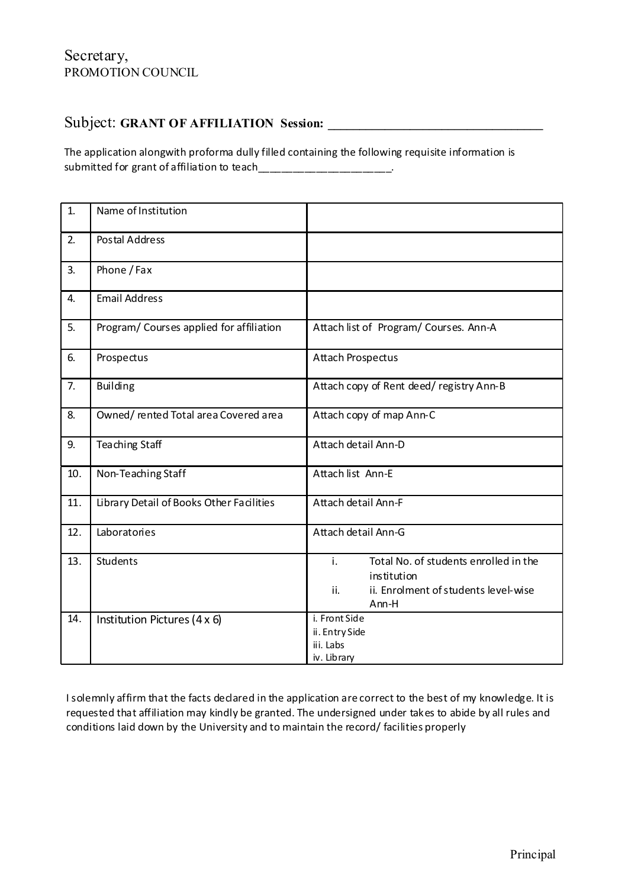#### Secretary, PROMOTION COUNCIL

#### Subject: GRANT OF AFFILIATION Session:

The application alongwith proforma dully filled containing the following requisite information is submitted for grant of affiliation to teach\_\_\_\_\_\_\_\_\_\_\_\_\_\_\_\_\_\_\_\_\_\_\_\_\_.

| 1.  | Name of Institution                      |                                                                                                                                |
|-----|------------------------------------------|--------------------------------------------------------------------------------------------------------------------------------|
| 2.  | <b>Postal Address</b>                    |                                                                                                                                |
| 3.  | Phone / Fax                              |                                                                                                                                |
| 4.  | <b>Email Address</b>                     |                                                                                                                                |
| 5.  | Program/ Courses applied for affiliation | Attach list of Program/Courses. Ann-A                                                                                          |
| 6.  | Prospectus                               | Attach Prospectus                                                                                                              |
| 7.  | <b>Building</b>                          | Attach copy of Rent deed/registry Ann-B                                                                                        |
| 8.  | Owned/rented Total area Covered area     | Attach copy of map Ann-C                                                                                                       |
| 9.  | Teaching Staff                           | Attach detail Ann-D                                                                                                            |
| 10. | Non-Teaching Staff                       | Attach list Ann-E                                                                                                              |
| 11. | Library Detail of Books Other Facilities | Attach detail Ann-F                                                                                                            |
| 12. | Laboratories                             | Attach detail Ann-G                                                                                                            |
| 13. | <b>Students</b>                          | $\mathbf{i}$ .<br>Total No. of students enrolled in the<br>institution<br>ii.<br>ii. Enrolment of students level-wise<br>Ann-H |
| 14. | Institution Pictures (4 x 6)             | i. Front Side<br>ii. Entry Side<br>iii. Labs<br>iv. Library                                                                    |

I solemnly affirm that the facts declared in the application are correct to the best of my knowledge. It is requested that affiliation may kindly be granted. The undersigned under takes to abide by all rules and conditions laid down by the University and to maintain the record/ facilities properly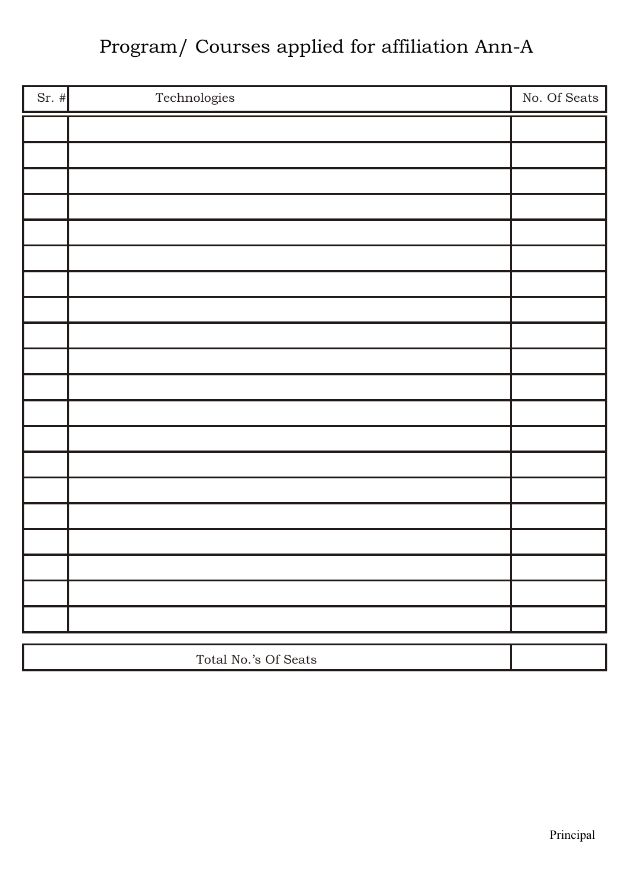## Program/ Courses applied for affiliation Ann-A

| $Sr.$ # | Technologies         | No. Of Seats |
|---------|----------------------|--------------|
|         |                      |              |
|         |                      |              |
|         |                      |              |
|         |                      |              |
|         |                      |              |
|         |                      |              |
|         |                      |              |
|         |                      |              |
|         |                      |              |
|         |                      |              |
|         |                      |              |
|         |                      |              |
|         |                      |              |
|         |                      |              |
|         |                      |              |
|         |                      |              |
|         |                      |              |
|         |                      |              |
|         |                      |              |
|         |                      |              |
|         | Total No.'s Of Seats |              |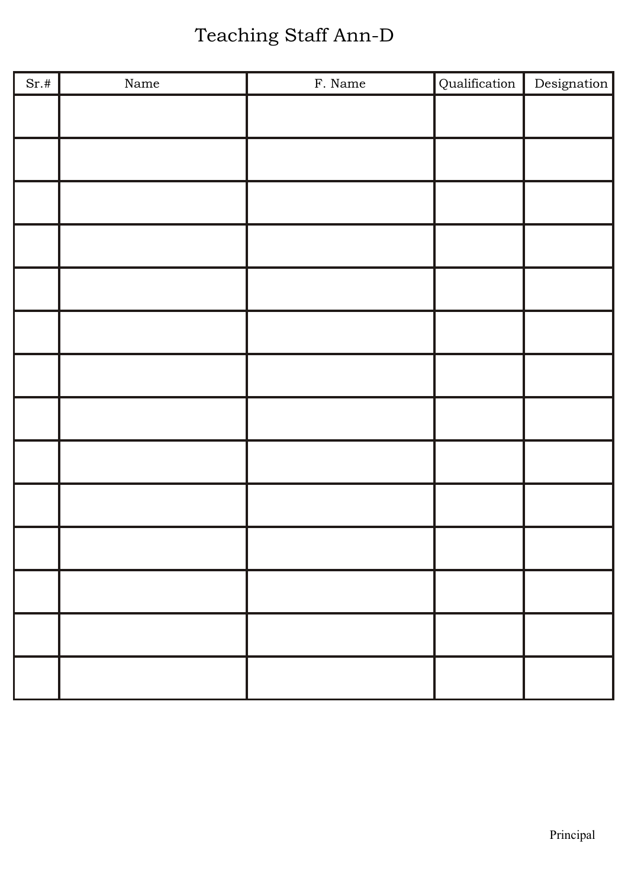# Teaching Staff Ann-D

| Sr.# | $\rm Name$ | F. Name | Qualification | Designation |
|------|------------|---------|---------------|-------------|
|      |            |         |               |             |
|      |            |         |               |             |
|      |            |         |               |             |
|      |            |         |               |             |
|      |            |         |               |             |
|      |            |         |               |             |
|      |            |         |               |             |
|      |            |         |               |             |
|      |            |         |               |             |
|      |            |         |               |             |
|      |            |         |               |             |
|      |            |         |               |             |
|      |            |         |               |             |
|      |            |         |               |             |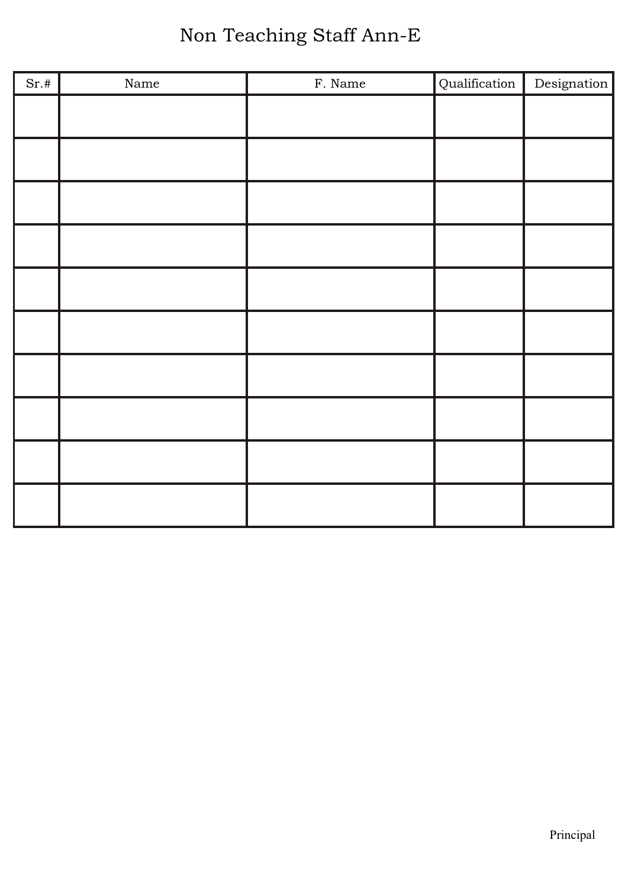# Non Teaching Staff Ann-E

| Sr.# | $\rm Name$ | F. Name | Qualification | Designation |
|------|------------|---------|---------------|-------------|
|      |            |         |               |             |
|      |            |         |               |             |
|      |            |         |               |             |
|      |            |         |               |             |
|      |            |         |               |             |
|      |            |         |               |             |
|      |            |         |               |             |
|      |            |         |               |             |
|      |            |         |               |             |
|      |            |         |               |             |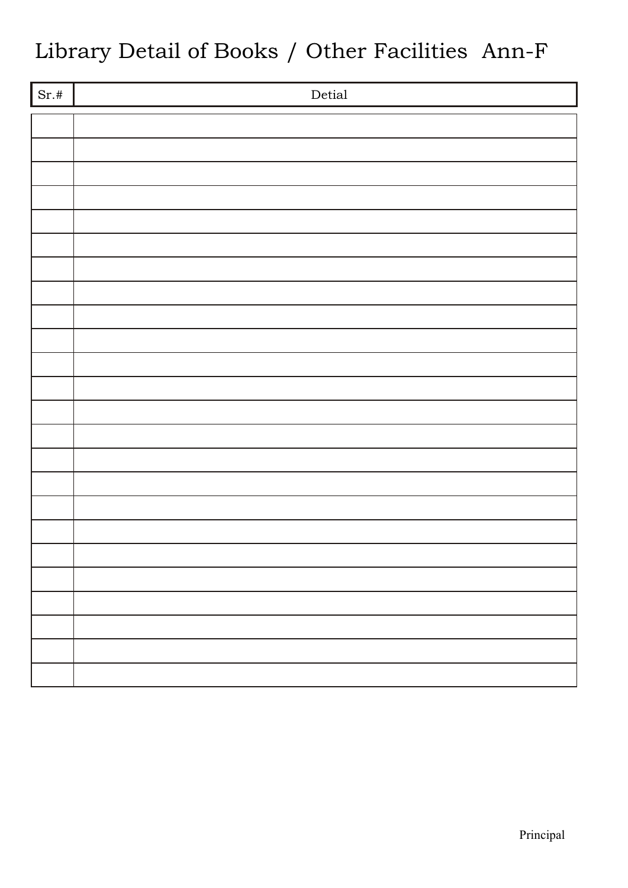# Library Detail of Books / Other Facilities Ann-F

| $\overline{Sr.#}$ | $\mbox{Detial}$ |
|-------------------|-----------------|
|                   |                 |
|                   |                 |
|                   |                 |
|                   |                 |
|                   |                 |
|                   |                 |
|                   |                 |
|                   |                 |
|                   |                 |
|                   |                 |
|                   |                 |
|                   |                 |
|                   |                 |
|                   |                 |
|                   |                 |
|                   |                 |
|                   |                 |
|                   |                 |
|                   |                 |
|                   |                 |
|                   |                 |
|                   |                 |
|                   |                 |
|                   |                 |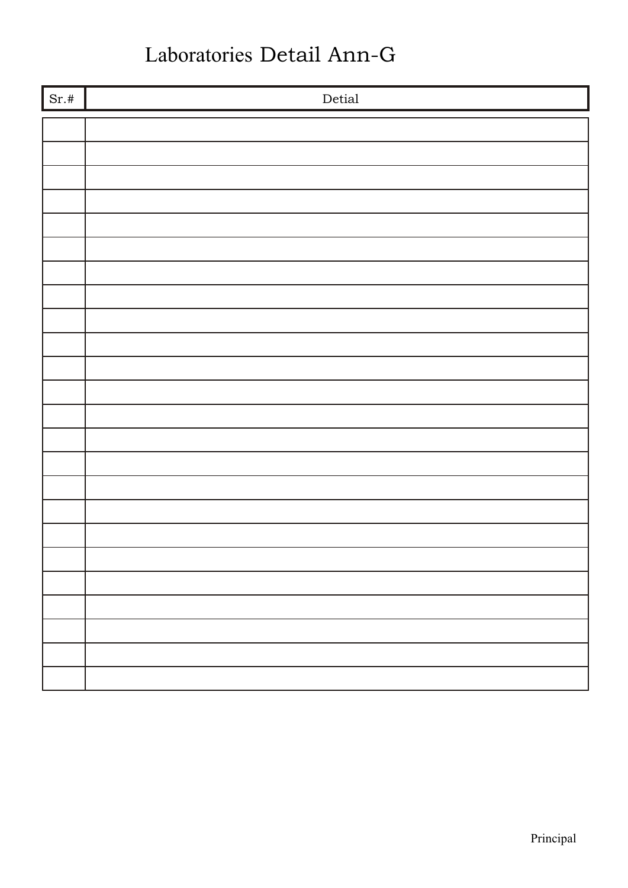## Laboratories Detail Ann-G

| $\vert$ Sr.# | $\mbox{Detial}$ |
|--------------|-----------------|
|              |                 |
|              |                 |
|              |                 |
|              |                 |
|              |                 |
|              |                 |
|              |                 |
|              |                 |
|              |                 |
|              |                 |
|              |                 |
|              |                 |
|              |                 |
|              |                 |
|              |                 |
|              |                 |
|              |                 |
|              |                 |
|              |                 |
|              |                 |
|              |                 |
|              |                 |
|              |                 |
|              |                 |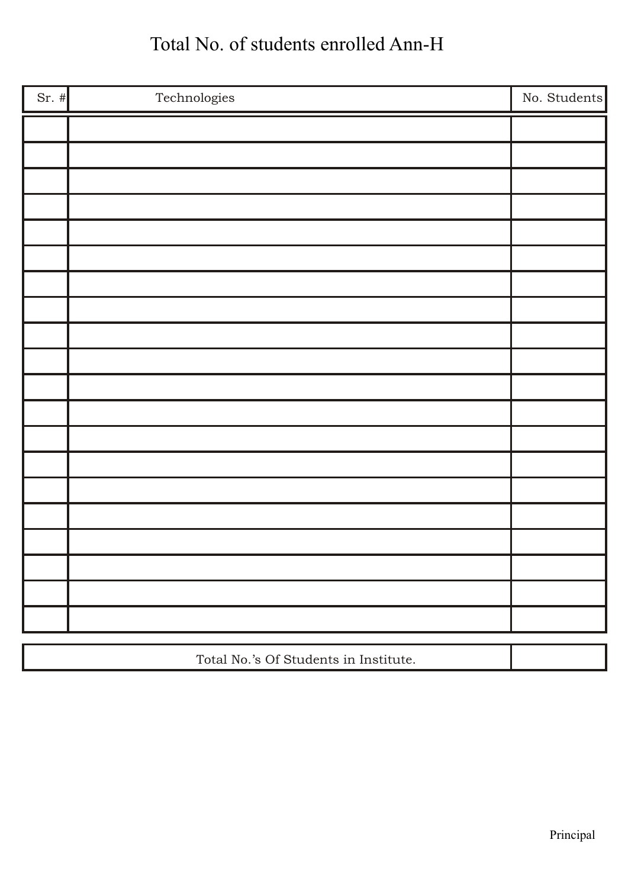## Total No. of students enrolled Ann-H

| Sr. $#$ | Technologies                          | No. Students |
|---------|---------------------------------------|--------------|
|         |                                       |              |
|         |                                       |              |
|         |                                       |              |
|         |                                       |              |
|         |                                       |              |
|         |                                       |              |
|         |                                       |              |
|         |                                       |              |
|         |                                       |              |
|         |                                       |              |
|         |                                       |              |
|         |                                       |              |
|         |                                       |              |
|         |                                       |              |
|         |                                       |              |
|         |                                       |              |
|         |                                       |              |
|         |                                       |              |
|         |                                       |              |
|         |                                       |              |
|         | Total No.'s Of Students in Institute. |              |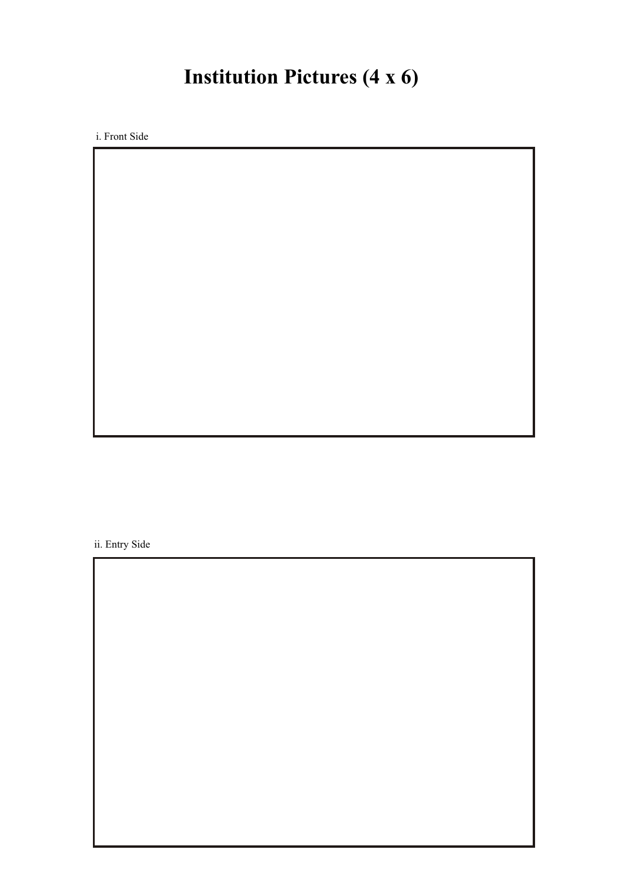## **Institution Pictures (4 x 6)**

i. Front Side

ii. Entry Side